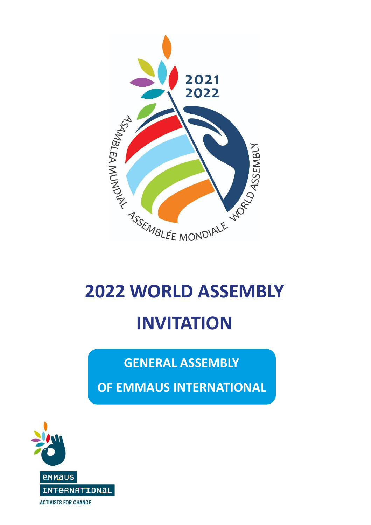

# **2022 WORLD ASSEMBLY INVITATION**

# **GENERAL ASSEMBLY**

**OF EMMAUS INTERNATIONAL**

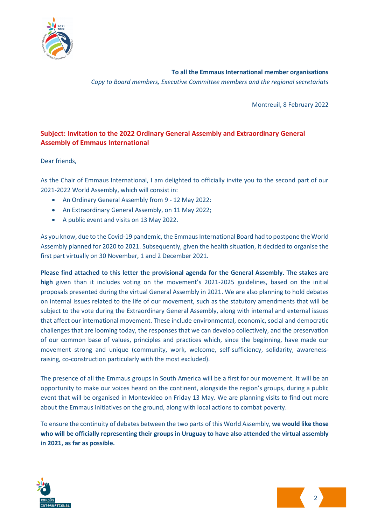

**To all the Emmaus International member organisations** *Copy to Board members, Executive Committee members and the regional secretariats*

Montreuil, 8 February 2022

### **Subject: Invitation to the 2022 Ordinary General Assembly and Extraordinary General Assembly of Emmaus International**

Dear friends,

As the Chair of Emmaus International, I am delighted to officially invite you to the second part of our 2021-2022 World Assembly, which will consist in:

- An Ordinary General Assembly from 9 12 May 2022:
- An Extraordinary General Assembly, on 11 May 2022;
- A public event and visits on 13 May 2022.

As you know, due to the Covid-19 pandemic, the Emmaus International Board had to postpone the World Assembly planned for 2020 to 2021. Subsequently, given the health situation, it decided to organise the first part virtually on 30 November, 1 and 2 December 2021.

**Please find attached to this letter the provisional agenda for the General Assembly. The stakes are high** given than it includes voting on the movement's 2021-2025 guidelines, based on the initial proposals presented during the virtual General Assembly in 2021. We are also planning to hold debates on internal issues related to the life of our movement, such as the statutory amendments that will be subject to the vote during the Extraordinary General Assembly, along with internal and external issues that affect our international movement. These include environmental, economic, social and democratic challenges that are looming today, the responses that we can develop collectively, and the preservation of our common base of values, principles and practices which, since the beginning, have made our movement strong and unique (community, work, welcome, self-sufficiency, solidarity, awarenessraising, co-construction particularly with the most excluded).

The presence of all the Emmaus groups in South America will be a first for our movement. It will be an opportunity to make our voices heard on the continent, alongside the region's groups, during a public event that will be organised in Montevideo on Friday 13 May. We are planning visits to find out more about the Emmaus initiatives on the ground, along with local actions to combat poverty.

To ensure the continuity of debates between the two parts of this World Assembly, **we would like those who will be officially representing their groups in Uruguay to have also attended the virtual assembly in 2021, as far as possible.**



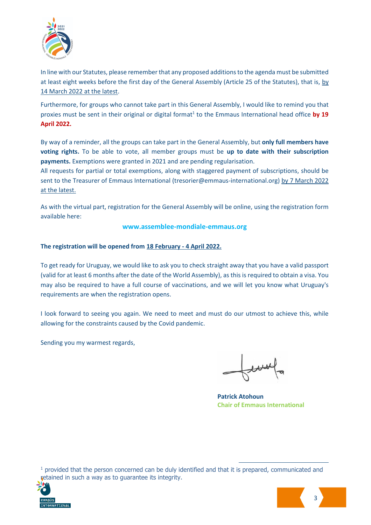

In line with our Statutes, please remember that any proposed additions to the agenda must be submitted at least eight weeks before the first day of the General Assembly (Article 25 of the Statutes), that is, by 14 March 2022 at the latest.

Furthermore, for groups who cannot take part in this General Assembly, I would like to remind you that proxies must be sent in their original or digital format<sup>1</sup> to the Emmaus International head office by 19 **April 2022.**

By way of a reminder, all the groups can take part in the General Assembly, but **only full members have voting rights.** To be able to vote, all member groups must be **up to date with their subscription payments.** Exemptions were granted in 2021 and are pending regularisation.

All requests for partial or total exemptions, along with staggered payment of subscriptions, should be sent to the Treasurer of Emmaus International (tresorier@emmaus-international.org) by 7 March 2022 at the latest.

As with the virtual part, registration for the General Assembly will be online, using the registration form available here:

#### **www.assemblee-mondiale-emmaus.org**

#### **The registration will be opened from 18 February - 4 April 2022.**

To get ready for Uruguay, we would like to ask you to check straight away that you have a valid passport (valid for at least 6 months after the date of the World Assembly), as this is required to obtain a visa. You may also be required to have a full course of vaccinations, and we will let you know what Uruguay's requirements are when the registration opens.

I look forward to seeing you again. We need to meet and must do our utmost to achieve this, while allowing for the constraints caused by the Covid pandemic.

Sending you my warmest regards,

**Patrick Atohoun Chair of Emmaus International**

<sup>1</sup> provided that the person concerned can be duly identified and that it is prepared, communicated and retained in such a way as to guarantee its integrity.